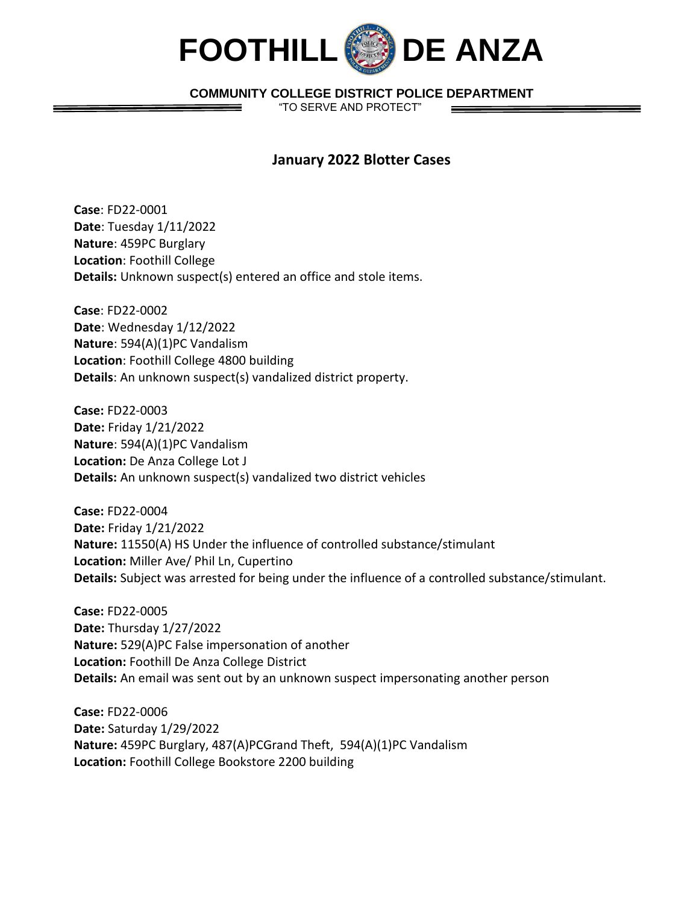

## **COMMUNITY COLLEGE DISTRICT POLICE DEPARTMENT**

"TO SERVE AND PROTECT"

## **January 2022 Blotter Cases**

**Case**: FD22-0001 **Date**: Tuesday 1/11/2022 **Nature**: 459PC Burglary **Location**: Foothill College **Details:** Unknown suspect(s) entered an office and stole items.

**Case**: FD22-0002 **Date**: Wednesday 1/12/2022 **Nature**: 594(A)(1)PC Vandalism **Location**: Foothill College 4800 building **Details**: An unknown suspect(s) vandalized district property.

**Case:** FD22-0003 **Date:** Friday 1/21/2022 **Nature**: 594(A)(1)PC Vandalism **Location:** De Anza College Lot J **Details:** An unknown suspect(s) vandalized two district vehicles

**Case:** FD22-0004 **Date:** Friday 1/21/2022 **Nature:** 11550(A) HS Under the influence of controlled substance/stimulant **Location:** Miller Ave/ Phil Ln, Cupertino **Details:** Subject was arrested for being under the influence of a controlled substance/stimulant.

**Case:** FD22-0005 **Date:** Thursday 1/27/2022 **Nature:** 529(A)PC False impersonation of another **Location:** Foothill De Anza College District **Details:** An email was sent out by an unknown suspect impersonating another person

**Case:** FD22-0006 **Date:** Saturday 1/29/2022 **Nature:** 459PC Burglary, 487(A)PCGrand Theft, 594(A)(1)PC Vandalism **Location:** Foothill College Bookstore 2200 building